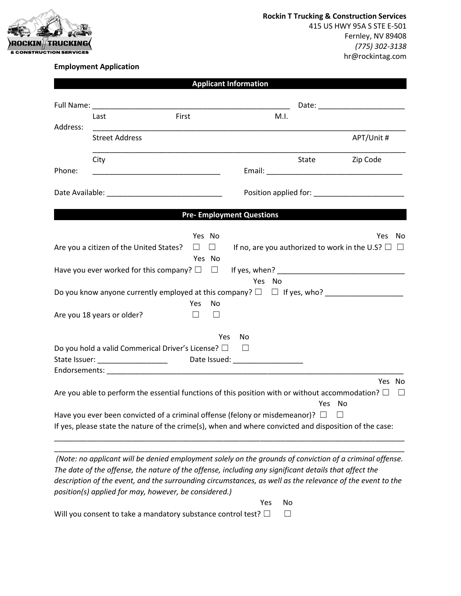

## **Employment Application**

|          |                                                                                                           |                                                                                                                       |              | <b>Applicant Information</b>     |        |       |                                                                                                                                                                                                                                |
|----------|-----------------------------------------------------------------------------------------------------------|-----------------------------------------------------------------------------------------------------------------------|--------------|----------------------------------|--------|-------|--------------------------------------------------------------------------------------------------------------------------------------------------------------------------------------------------------------------------------|
|          |                                                                                                           |                                                                                                                       |              |                                  |        |       |                                                                                                                                                                                                                                |
|          | Last                                                                                                      | First                                                                                                                 |              |                                  | M.I.   |       |                                                                                                                                                                                                                                |
| Address: | <b>Street Address</b>                                                                                     |                                                                                                                       |              |                                  |        |       | APT/Unit #                                                                                                                                                                                                                     |
| Phone:   | City                                                                                                      | <u> 1990 - Johann Marie Barn, mars ann an t-Amhain an t-Amhain an t-Amhain an t-Amhain an t-Amhain an t-Amhain an</u> |              |                                  |        | State | Zip Code                                                                                                                                                                                                                       |
|          |                                                                                                           |                                                                                                                       |              |                                  |        |       |                                                                                                                                                                                                                                |
|          |                                                                                                           |                                                                                                                       |              |                                  |        |       | Position applied for: Network and the set of the set of the set of the set of the set of the set of the set of the set of the set of the set of the set of the set of the set of the set of the set of the set of the set of t |
|          |                                                                                                           |                                                                                                                       |              | <b>Pre- Employment Questions</b> |        |       |                                                                                                                                                                                                                                |
|          |                                                                                                           | Yes No                                                                                                                |              |                                  |        |       | Yes<br>No                                                                                                                                                                                                                      |
|          | Are you a citizen of the United States?                                                                   | $\Box$                                                                                                                | $\Box$       |                                  |        |       | If no, are you authorized to work in the U.S? $\Box$ $\Box$                                                                                                                                                                    |
|          |                                                                                                           | Yes No                                                                                                                |              |                                  |        |       |                                                                                                                                                                                                                                |
|          | Have you ever worked for this company? $\square$                                                          |                                                                                                                       |              |                                  |        |       |                                                                                                                                                                                                                                |
|          |                                                                                                           |                                                                                                                       |              |                                  | Yes No |       |                                                                                                                                                                                                                                |
|          |                                                                                                           |                                                                                                                       |              |                                  |        |       | Do you know anyone currently employed at this company? $\square$ $\square$ If yes, who?                                                                                                                                        |
|          | Are you 18 years or older?                                                                                | Yes<br>П.                                                                                                             | No<br>$\Box$ |                                  |        |       |                                                                                                                                                                                                                                |
|          |                                                                                                           |                                                                                                                       | Yes.         | No                               |        |       |                                                                                                                                                                                                                                |
|          | Do you hold a valid Commerical Driver's License? □                                                        |                                                                                                                       |              | $\perp$                          |        |       |                                                                                                                                                                                                                                |
|          | State Issuer: _________________________ Date Issued: ___________________________                          |                                                                                                                       |              |                                  |        |       |                                                                                                                                                                                                                                |
|          |                                                                                                           |                                                                                                                       |              |                                  |        |       |                                                                                                                                                                                                                                |
|          |                                                                                                           |                                                                                                                       |              |                                  |        |       | Yes No                                                                                                                                                                                                                         |
|          | Are you able to perform the essential functions of this position with or without accommodation? $\square$ |                                                                                                                       |              |                                  |        | Yes   | No                                                                                                                                                                                                                             |
|          | Have you ever been convicted of a criminal offense (felony or misdemeanor)? $\Box$                        |                                                                                                                       |              |                                  |        |       | $\Box$                                                                                                                                                                                                                         |
|          |                                                                                                           |                                                                                                                       |              |                                  |        |       | If yes, please state the nature of the crime(s), when and where convicted and disposition of the case:                                                                                                                         |
|          |                                                                                                           |                                                                                                                       |              |                                  |        |       |                                                                                                                                                                                                                                |
|          |                                                                                                           |                                                                                                                       |              |                                  |        |       |                                                                                                                                                                                                                                |

*(Note: no applicant will be denied employment solely on the grounds of conviction of a criminal offense. The date of the offense, the nature of the offense, including any significant details that affect the description of the event, and the surrounding circumstances, as well as the relevance of the event to the position(s) applied for may, however, be considered.)*

Yes No

Will you consent to take a mandatory substance control test?  $\Box$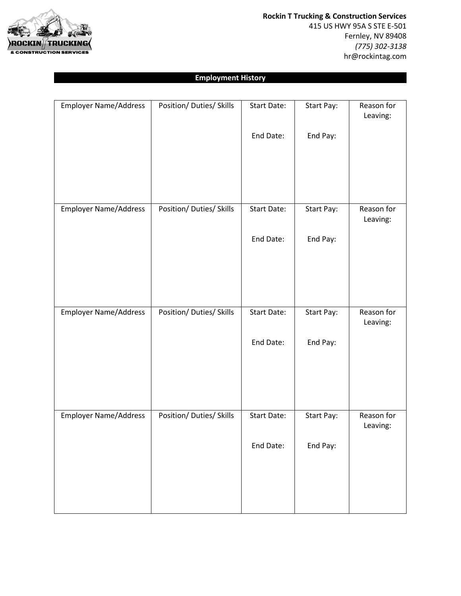

**Rockin T Trucking & Construction Services** 415 US HWY 95A S STE E-501 Fernley, NV 89408 *(775) 302-3138* hr@rockintag.com

## **Employment History**

| <b>Employer Name/Address</b> | Position/ Duties/ Skills | Start Date:        | Start Pay: | Reason for<br>Leaving: |
|------------------------------|--------------------------|--------------------|------------|------------------------|
|                              |                          | End Date:          | End Pay:   |                        |
|                              |                          |                    |            |                        |
|                              |                          |                    |            |                        |
|                              |                          |                    |            |                        |
| <b>Employer Name/Address</b> | Position/ Duties/ Skills | Start Date:        | Start Pay: | Reason for<br>Leaving: |
|                              |                          | End Date:          | End Pay:   |                        |
|                              |                          |                    |            |                        |
|                              |                          |                    |            |                        |
|                              |                          |                    |            |                        |
| <b>Employer Name/Address</b> | Position/ Duties/ Skills | <b>Start Date:</b> | Start Pay: | Reason for<br>Leaving: |
|                              |                          | End Date:          | End Pay:   |                        |
|                              |                          |                    |            |                        |
|                              |                          |                    |            |                        |
| <b>Employer Name/Address</b> | Position/ Duties/ Skills | Start Date:        | Start Pay: | Reason for             |
|                              |                          |                    |            | Leaving:               |
|                              |                          | End Date:          | End Pay:   |                        |
|                              |                          |                    |            |                        |
|                              |                          |                    |            |                        |
|                              |                          |                    |            |                        |